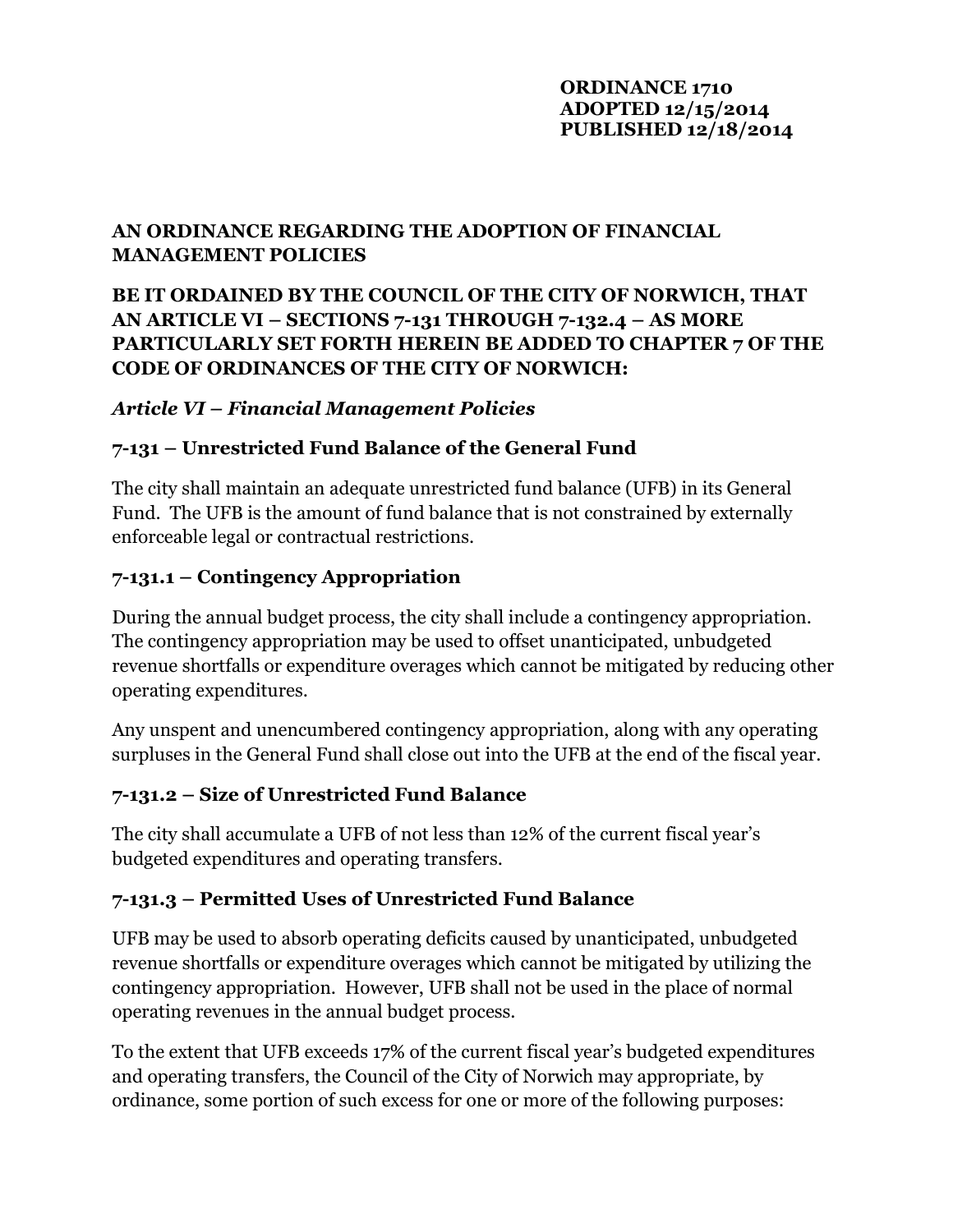#### **ORDINANCE 1710 ADOPTED 12/15/2014 PUBLISHED 12/18/2014**

#### **AN ORDINANCE REGARDING THE ADOPTION OF FINANCIAL MANAGEMENT POLICIES**

### **BE IT ORDAINED BY THE COUNCIL OF THE CITY OF NORWICH, THAT AN ARTICLE VI – SECTIONS 7-131 THROUGH 7-132.4 – AS MORE PARTICULARLY SET FORTH HEREIN BE ADDED TO CHAPTER 7 OF THE CODE OF ORDINANCES OF THE CITY OF NORWICH:**

#### *Article VI – Financial Management Policies*

### **7-131 – Unrestricted Fund Balance of the General Fund**

The city shall maintain an adequate unrestricted fund balance (UFB) in its General Fund. The UFB is the amount of fund balance that is not constrained by externally enforceable legal or contractual restrictions.

### **7-131.1 – Contingency Appropriation**

During the annual budget process, the city shall include a contingency appropriation. The contingency appropriation may be used to offset unanticipated, unbudgeted revenue shortfalls or expenditure overages which cannot be mitigated by reducing other operating expenditures.

Any unspent and unencumbered contingency appropriation, along with any operating surpluses in the General Fund shall close out into the UFB at the end of the fiscal year.

### **7-131.2 – Size of Unrestricted Fund Balance**

The city shall accumulate a UFB of not less than 12% of the current fiscal year's budgeted expenditures and operating transfers.

### **7-131.3 – Permitted Uses of Unrestricted Fund Balance**

UFB may be used to absorb operating deficits caused by unanticipated, unbudgeted revenue shortfalls or expenditure overages which cannot be mitigated by utilizing the contingency appropriation. However, UFB shall not be used in the place of normal operating revenues in the annual budget process.

To the extent that UFB exceeds 17% of the current fiscal year's budgeted expenditures and operating transfers, the Council of the City of Norwich may appropriate, by ordinance, some portion of such excess for one or more of the following purposes: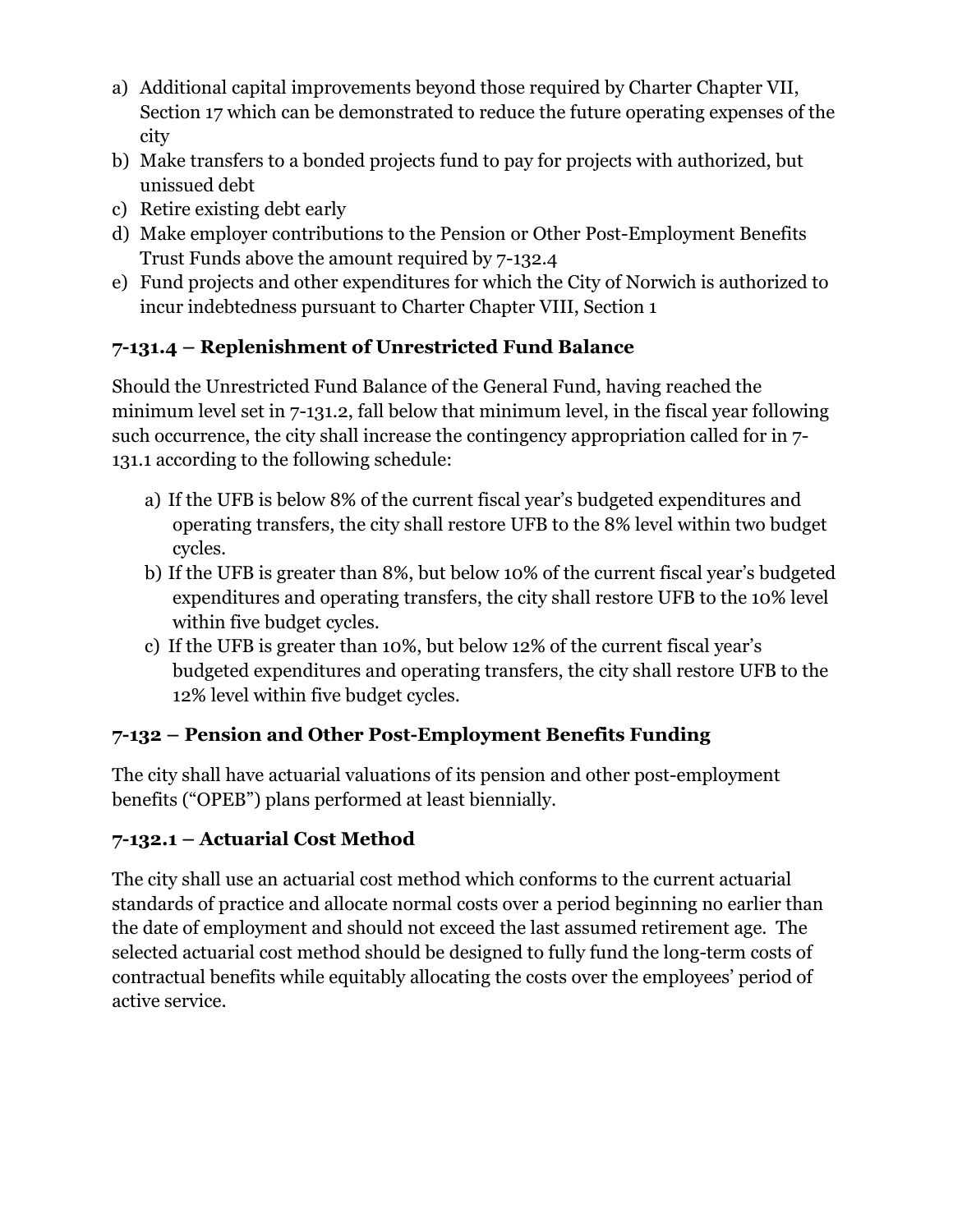- a) Additional capital improvements beyond those required by Charter Chapter VII, Section 17 which can be demonstrated to reduce the future operating expenses of the city
- b) Make transfers to a bonded projects fund to pay for projects with authorized, but unissued debt
- c) Retire existing debt early
- d) Make employer contributions to the Pension or Other Post-Employment Benefits Trust Funds above the amount required by 7-132.4
- e) Fund projects and other expenditures for which the City of Norwich is authorized to incur indebtedness pursuant to Charter Chapter VIII, Section 1

# **7-131.4 – Replenishment of Unrestricted Fund Balance**

Should the Unrestricted Fund Balance of the General Fund, having reached the minimum level set in 7-131.2, fall below that minimum level, in the fiscal year following such occurrence, the city shall increase the contingency appropriation called for in 7- 131.1 according to the following schedule:

- a) If the UFB is below 8% of the current fiscal year's budgeted expenditures and operating transfers, the city shall restore UFB to the 8% level within two budget cycles.
- b) If the UFB is greater than 8%, but below 10% of the current fiscal year's budgeted expenditures and operating transfers, the city shall restore UFB to the 10% level within five budget cycles.
- c) If the UFB is greater than 10%, but below 12% of the current fiscal year's budgeted expenditures and operating transfers, the city shall restore UFB to the 12% level within five budget cycles.

# **7-132 – Pension and Other Post-Employment Benefits Funding**

The city shall have actuarial valuations of its pension and other post-employment benefits ("OPEB") plans performed at least biennially.

# **7-132.1 – Actuarial Cost Method**

The city shall use an actuarial cost method which conforms to the current actuarial standards of practice and allocate normal costs over a period beginning no earlier than the date of employment and should not exceed the last assumed retirement age. The selected actuarial cost method should be designed to fully fund the long-term costs of contractual benefits while equitably allocating the costs over the employees' period of active service.